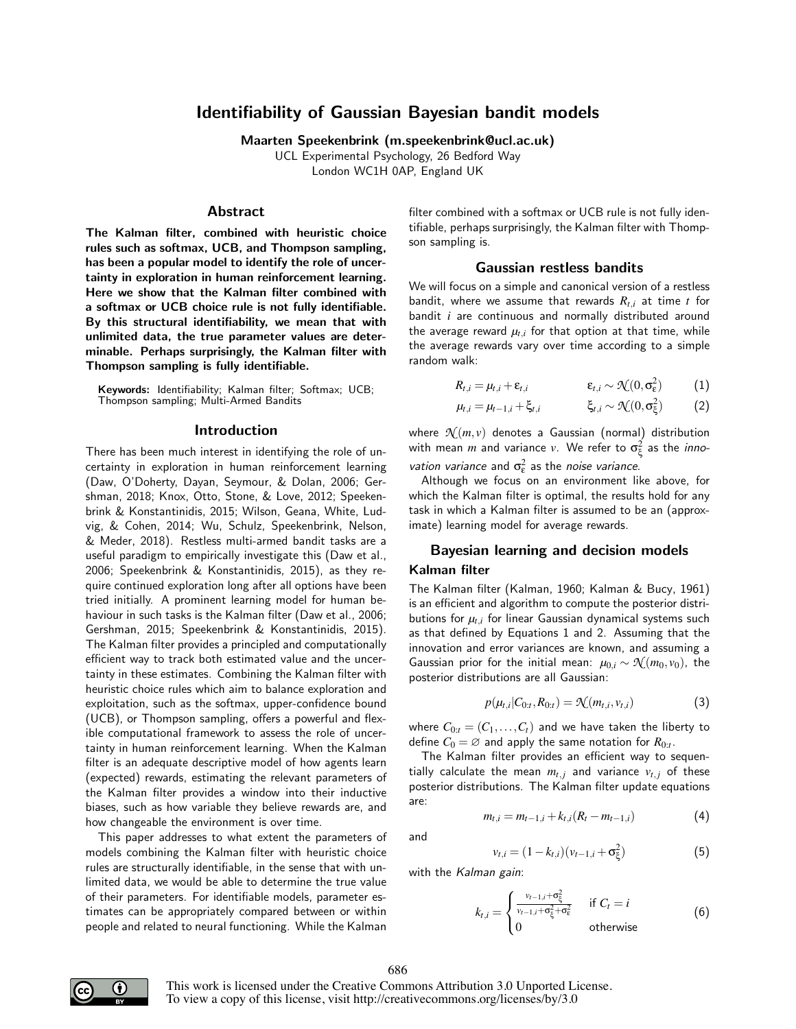# Identifiability of Gaussian Bayesian bandit models

Maarten Speekenbrink (m.speekenbrink@ucl.ac.uk)

UCL Experimental Psychology, 26 Bedford Way London WC1H 0AP, England UK

#### Abstract

The Kalman filter, combined with heuristic choice rules such as softmax, UCB, and Thompson sampling, has been a popular model to identify the role of uncertainty in exploration in human reinforcement learning. Here we show that the Kalman filter combined with a softmax or UCB choice rule is not fully identifiable. By this structural identifiability, we mean that with unlimited data, the true parameter values are determinable. Perhaps surprisingly, the Kalman filter with Thompson sampling is fully identifiable.

Keywords: Identifiability; Kalman filter; Softmax; UCB; Thompson sampling; Multi-Armed Bandits

#### Introduction

There has been much interest in identifying the role of uncertainty in exploration in human reinforcement learning (Daw, O'Doherty, Dayan, Seymour, & Dolan, 2006; Gershman, 2018; Knox, Otto, Stone, & Love, 2012; Speekenbrink & Konstantinidis, 2015; Wilson, Geana, White, Ludvig, & Cohen, 2014; Wu, Schulz, Speekenbrink, Nelson, & Meder, 2018). Restless multi-armed bandit tasks are a useful paradigm to empirically investigate this (Daw et al., 2006; Speekenbrink & Konstantinidis, 2015), as they require continued exploration long after all options have been tried initially. A prominent learning model for human behaviour in such tasks is the Kalman filter (Daw et al., 2006; Gershman, 2015; Speekenbrink & Konstantinidis, 2015). The Kalman filter provides a principled and computationally efficient way to track both estimated value and the uncertainty in these estimates. Combining the Kalman filter with heuristic choice rules which aim to balance exploration and exploitation, such as the softmax, upper-confidence bound (UCB), or Thompson sampling, offers a powerful and flexible computational framework to assess the role of uncertainty in human reinforcement learning. When the Kalman filter is an adequate descriptive model of how agents learn (expected) rewards, estimating the relevant parameters of the Kalman filter provides a window into their inductive biases, such as how variable they believe rewards are, and how changeable the environment is over time.

This paper addresses to what extent the parameters of models combining the Kalman filter with heuristic choice rules are structurally identifiable, in the sense that with unlimited data, we would be able to determine the true value of their parameters. For identifiable models, parameter estimates can be appropriately compared between or within people and related to neural functioning. While the Kalman

filter combined with a softmax or UCB rule is not fully identifiable, perhaps surprisingly, the Kalman filter with Thompson sampling is.

#### Gaussian restless bandits

We will focus on a simple and canonical version of a restless bandit, where we assume that rewards  $R_{t,i}$  at time *t* for bandit *i* are continuous and normally distributed around the average reward  $\mu_{t,i}$  for that option at that time, while the average rewards vary over time according to a simple random walk:

$$
R_{t,i} = \mu_{t,i} + \varepsilon_{t,i} \qquad \qquad \varepsilon_{t,i} \sim \mathcal{N}(0, \sigma_{\varepsilon}^2) \qquad (1)
$$

$$
\mu_{t,i} = \mu_{t-1,i} + \xi_{t,i} \qquad \qquad \xi_{t,i} \sim \mathcal{N}(0,\sigma_{\xi}^2) \qquad (2)
$$

where  $\mathcal{N}(m, v)$  denotes a Gaussian (normal) distribution with mean  $m$  and variance  $v$ . We refer to  $\sigma_\xi^2$  as the  $\mathit{inno}$ vation variance and  $\sigma_{\epsilon}^2$  as the noise variance.

Although we focus on an environment like above, for which the Kalman filter is optimal, the results hold for any task in which a Kalman filter is assumed to be an (approximate) learning model for average rewards.

#### Bayesian learning and decision models

# Kalman filter

The Kalman filter (Kalman, 1960; Kalman & Bucy, 1961) is an efficient and algorithm to compute the posterior distributions for  $\mu_{t,i}$  for linear Gaussian dynamical systems such as that defined by Equations 1 and 2. Assuming that the innovation and error variances are known, and assuming a Gaussian prior for the initial mean:  $\mu_{0,i} \sim \mathcal{N}(m_0, v_0)$ , the posterior distributions are all Gaussian:

$$
p(\mu_{t,i}|C_{0:t}, R_{0:t}) = \mathcal{N}(m_{t,i}, v_{t,i})
$$
\n(3)

where  $C_{0:t} = (C_1, \ldots, C_t)$  and we have taken the liberty to define  $C_0 = \varnothing$  and apply the same notation for  $R_{0:t}.$ 

The Kalman filter provides an efficient way to sequentially calculate the mean  $m_{t,j}$  and variance  $v_{t,j}$  of these posterior distributions. The Kalman filter update equations are:

$$
m_{t,i} = m_{t-1,i} + k_{t,i}(R_t - m_{t-1,i})
$$
\n(4)

and

$$
v_{t,i} = (1 - k_{t,i})(v_{t-1,i} + \sigma_{\xi}^2)
$$
\n(5)

with the Kalman gain:

$$
k_{t,i} = \begin{cases} \frac{v_{t-1,i} + \sigma_{\xi}^2}{v_{t-1,i} + \sigma_{\xi}^2 + \sigma_{\xi}^2} & \text{if } C_t = i\\ 0 & \text{otherwise} \end{cases}
$$
(6)



This work is licensed under the Creative Commons Attribution 3.0 Unported License. To view a copy of this license, visit http://creativecommons.org/licenses/by/3.0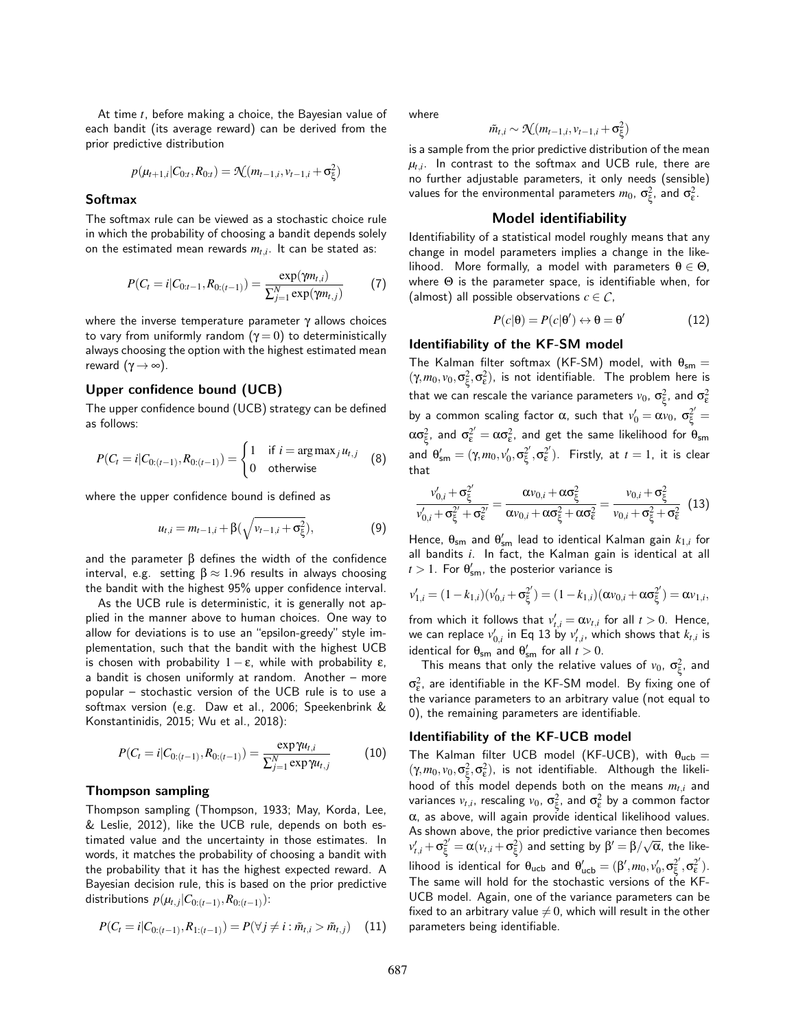At time *t*, before making a choice, the Bayesian value of each bandit (its average reward) can be derived from the prior predictive distribution

$$
p(\mu_{t+1,i}|C_{0:t}, R_{0:t}) = \mathcal{N}(m_{t-1,i}, v_{t-1,i} + \sigma_{\xi}^2)
$$

#### **Softmax**

The softmax rule can be viewed as a stochastic choice rule in which the probability of choosing a bandit depends solely on the estimated mean rewards *mt*,*<sup>i</sup>* . It can be stated as:

$$
P(C_t = i | C_{0:t-1}, R_{0:(t-1)}) = \frac{\exp(\gamma m_{t,i})}{\sum_{j=1}^{N} \exp(\gamma m_{t,j})}
$$
(7)

where the inverse temperature parameter  $\gamma$  allows choices to vary from uniformly random  $(γ = 0)$  to deterministically always choosing the option with the highest estimated mean reward  $(γ \rightarrow ∞)$ .

# Upper confidence bound (UCB)

The upper confidence bound (UCB) strategy can be defined as follows:

$$
P(C_t = i | C_{0:(t-1)}, R_{0:(t-1)}) = \begin{cases} 1 & \text{if } i = \arg \max_j u_{t,j} \\ 0 & \text{otherwise} \end{cases}
$$
(8)

where the upper confidence bound is defined as

$$
u_{t,i} = m_{t-1,i} + \beta(\sqrt{v_{t-1,i} + \sigma_{\xi}^2}),
$$
\n(9)

and the parameter  $β$  defines the width of the confidence interval, e.g. setting  $\beta \approx 1.96$  results in always choosing the bandit with the highest 95% upper confidence interval.

As the UCB rule is deterministic, it is generally not applied in the manner above to human choices. One way to allow for deviations is to use an "epsilon-greedy" style implementation, such that the bandit with the highest UCB is chosen with probability  $1 - ε$ , while with probability  $ε$ , a bandit is chosen uniformly at random. Another – more popular – stochastic version of the UCB rule is to use a softmax version (e.g. Daw et al., 2006; Speekenbrink & Konstantinidis, 2015; Wu et al., 2018):

$$
P(C_t = i | C_{0:(t-1)}, R_{0:(t-1)}) = \frac{\exp \gamma u_{t,i}}{\sum_{j=1}^N \exp \gamma u_{t,j}} \tag{10}
$$

#### Thompson sampling

Thompson sampling (Thompson, 1933; May, Korda, Lee, & Leslie, 2012), like the UCB rule, depends on both estimated value and the uncertainty in those estimates. In words, it matches the probability of choosing a bandit with the probability that it has the highest expected reward. A Bayesian decision rule, this is based on the prior predictive distributions  $p(\mu_{t,j}|C_{0:(t-1)}, R_{0:(t-1)})$ :

$$
P(C_t = i | C_{0:(t-1)}, R_{1:(t-1)}) = P(\forall j \neq i : \tilde{m}_{t,i} > \tilde{m}_{t,j}) \quad (11)
$$

where

$$
\tilde{m}_{t,i} \sim \mathcal{N}(m_{t-1,i},v_{t-1,i}+\sigma_{\xi}^2)
$$

is a sample from the prior predictive distribution of the mean  $\mu_{t,i}$ . In contrast to the softmax and UCB rule, there are no further adjustable parameters, it only needs (sensible) values for the environmental parameters  $m_0$ ,  $\sigma_{\xi}^2$ , and  $\sigma_{\epsilon}^2$ .

#### Model identifiability

Identifiability of a statistical model roughly means that any change in model parameters implies a change in the likelihood. More formally, a model with parameters  $\theta \in \Theta$ , where Θ is the parameter space, is identifiable when, for (almost) all possible observations  $c \in \mathcal{C}$ ,

$$
P(c|\theta) = P(c|\theta') \leftrightarrow \theta = \theta'
$$
 (12)

# Identifiability of the KF-SM model

The Kalman filter softmax (KF-SM) model, with  $\theta_{\rm sm} =$  $(\gamma, m_0, v_0, \sigma_{\xi}^2, \sigma_{\epsilon}^2)$ , is not identifiable. The problem here is that we can rescale the variance parameters  $v_0$ ,  $\sigma_{\! \xi}^2$ , and  $\sigma_{\! \epsilon}^2$ by a common scaling factor  $\alpha$ , such that  $v'_0 = \alpha v_0$ ,  $\sigma_{\xi}^{2'} =$  $\alpha\sigma_{\xi}^2$ , and  $\sigma_{\xi}^2'=\alpha\sigma_{\xi}^2$ , and get the same likelihood for  $\theta_{\rm sm}$ and  $\theta'_{\mathsf{sm}} = (\gamma, m_0, v'_0, \sigma^2_{\xi})$  $\frac{2^{\prime }}{\xi },\sigma _{\varepsilon }^{2^{\prime }}$  $\binom{2}{\epsilon}$ . Firstly, at  $t=1$ , it is clear that

$$
\frac{v'_{0,i} + \sigma_{\xi}^{2'}}{v'_{0,i} + \sigma_{\xi}^{2'} + \sigma_{\xi}^{2'}} = \frac{\alpha v_{0,i} + \alpha \sigma_{\xi}^2}{\alpha v_{0,i} + \alpha \sigma_{\xi}^2 + \alpha \sigma_{\epsilon}^2} = \frac{v_{0,i} + \sigma_{\xi}^2}{v_{0,i} + \sigma_{\xi}^2 + \sigma_{\epsilon}^2}
$$
(13)

Hence,  $\theta_{\mathsf{sm}}$  and  $\theta'_{\mathsf{sm}}$  lead to identical Kalman gain  $k_{1,i}$  for all bandits *i*. In fact, the Kalman gain is identical at all  $t > 1$ . For  $\theta_{\mathsf{sm}}'$ , the posterior variance is

$$
v'_{1,i} = (1 - k_{1,i})(v'_{0,i} + \sigma_{\xi}^{2'}) = (1 - k_{1,i})(\alpha v_{0,i} + \alpha \sigma_{\xi}^{2'}) = \alpha v_{1,i},
$$

from which it follows that  $v'_{t,i} = \alpha v_{t,i}$  for all  $t > 0$ . Hence, we can replace  $v'_{0,i}$  in Eq 13 by  $v'_{t,i}$ , which shows that  $k_{t,i}$  is identical for  $\theta_{\text{sm}}$  and  $\theta'_{\text{sm}}$  for all  $t > 0$ .

This means that only the relative values of  $v_0$ ,  $\sigma_{\xi}^2$ , and  $\sigma_{\varepsilon}^2$ , are identifiable in the KF-SM model. By fixing one of the variance parameters to an arbitrary value (not equal to 0), the remaining parameters are identifiable.

#### Identifiability of the KF-UCB model

The Kalman filter UCB model (KF-UCB), with  $\theta_{ucb} =$  $(\gamma, m_0, v_0, \sigma_{\xi}^2, \sigma_{\epsilon}^2)$ , is not identifiable. Although the likelihood of this model depends both on the means *mt*,*<sup>i</sup>* and variances  $v_{t,i}$ , rescaling  $v_0$ ,  $\sigma_\xi^2$ , and  $\sigma_\epsilon^2$  by a common factor  $\alpha$ , as above, will again provide identical likelihood values. As shown above, the prior predictive variance then becomes  $v'_{t,i} + \sigma_{\xi}^{2'} = \alpha (v_{t,i} + \sigma_{\xi}^{2})$  and setting by  $\beta' = \beta / \sqrt{\alpha}$ , the likelihood is identical for  $\theta_{\text{ucb}}$  and  $\theta'_{\text{ucb}} = (\beta', m_0, v'_0, \sigma_{\xi}^2)$  $\xi^2, \sigma_\varepsilon^{2'}$  $\binom{2'}{\epsilon}$ . The same will hold for the stochastic versions of the KF-UCB model. Again, one of the variance parameters can be fixed to an arbitrary value  $\neq 0$ , which will result in the other parameters being identifiable.